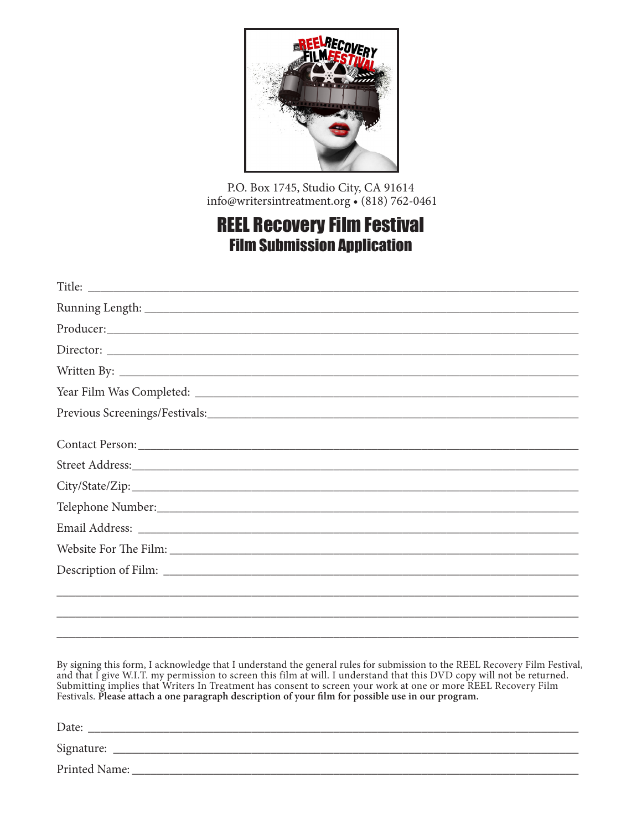

P.O. Box 1745, Studio City, CA 91614 info@writersintreatment.org • (818) 762-0461

## REEL Recovery Film Festival Film Submission Application

| ,我们也不能会在这里,我们的人们就会不能会在这里,我们也不能会不能会不能会不能会不能会不能会不能会不能会。""我们的人们就会不能会不能会不能会不能会不能会不能会 |
|----------------------------------------------------------------------------------|
|                                                                                  |
|                                                                                  |

By signing this form, I acknowledge that I understand the general rules for submission to the REEL Recovery Film Festival, and that I give W.I.T. my permission to screen this film at will. I understand that this DVD copy will not be returned. Submitting implies that Writers In Treatment has consent to screen your work at one or more REEL Recovery Film Festivals. **Please attach a one paragraph description of your film for possible use in our program.**

\_\_\_\_\_\_\_\_\_\_\_\_\_\_\_\_\_\_\_\_\_\_\_\_\_\_\_\_\_\_\_\_\_\_\_\_\_\_\_\_\_\_\_\_\_\_\_\_\_\_\_\_\_\_\_\_\_\_\_\_\_\_\_\_\_\_\_\_\_\_\_\_\_\_\_\_\_\_\_\_\_\_\_

Date: Signature: \_\_\_\_\_\_\_\_\_\_\_\_\_\_\_\_\_\_\_\_\_\_\_\_\_\_\_\_\_\_\_\_\_\_\_\_\_\_\_\_\_\_\_\_\_\_\_\_\_\_\_\_\_\_\_\_\_\_\_\_\_\_\_\_\_\_\_\_\_\_\_\_\_\_

Printed Name: \_\_\_\_\_\_\_\_\_\_\_\_\_\_\_\_\_\_\_\_\_\_\_\_\_\_\_\_\_\_\_\_\_\_\_\_\_\_\_\_\_\_\_\_\_\_\_\_\_\_\_\_\_\_\_\_\_\_\_\_\_\_\_\_\_\_\_\_\_\_\_